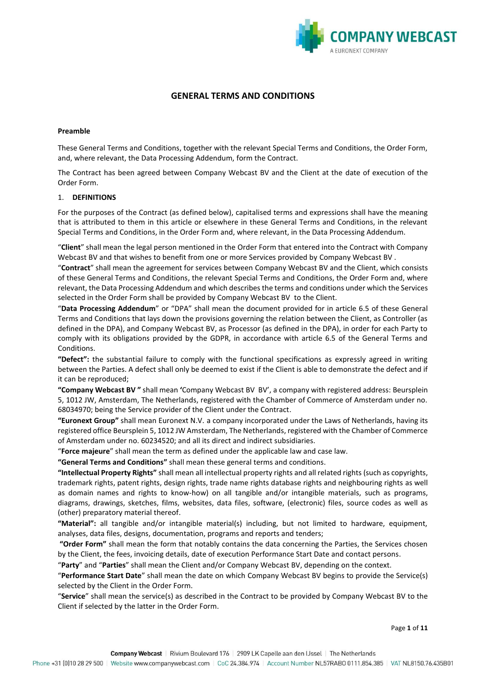

# **GENERAL TERMS AND CONDITIONS**

#### **Preamble**

These General Terms and Conditions, together with the relevant Special Terms and Conditions, the Order Form, and, where relevant, the Data Processing Addendum, form the Contract.

The Contract has been agreed between Company Webcast BV and the Client at the date of execution of the Order Form.

#### 1. **DEFINITIONS**

For the purposes of the Contract (as defined below), capitalised terms and expressions shall have the meaning that is attributed to them in this article or elsewhere in these General Terms and Conditions, in the relevant Special Terms and Conditions, in the Order Form and, where relevant, in the Data Processing Addendum.

"**Client**" shall mean the legal person mentioned in the Order Form that entered into the Contract with Company Webcast BV and that wishes to benefit from one or more Services provided by Company Webcast BV .

"**Contract**" shall mean the agreement for services between Company Webcast BV and the Client, which consists of these General Terms and Conditions, the relevant Special Terms and Conditions, the Order Form and, where relevant, the Data Processing Addendum and which describes the terms and conditions under which the Services selected in the Order Form shall be provided by Company Webcast BV to the Client.

"**Data Processing Addendum**" or "DPA" shall mean the document provided for in article 6.5 of these General Terms and Conditions that lays down the provisions governing the relation between the Client, as Controller (as defined in the DPA), and Company Webcast BV, as Processor (as defined in the DPA), in order for each Party to comply with its obligations provided by the GDPR, in accordance with article 6.5 of the General Terms and Conditions.

**"Defect":** the substantial failure to comply with the functional specifications as expressly agreed in writing between the Parties. A defect shall only be deemed to exist if the Client is able to demonstrate the defect and if it can be reproduced;

**"Company Webcast BV "** shall mean **'**Company Webcast BV BV', a company with registered address: Beursplein 5, 1012 JW, Amsterdam, The Netherlands, registered with the Chamber of Commerce of Amsterdam under no. 68034970; being the Service provider of the Client under the Contract.

**"Euronext Group"** shall mean Euronext N.V. a company incorporated under the Laws of Netherlands, having its registered office Beursplein 5, 1012 JW Amsterdam, The Netherlands, registered with the Chamber of Commerce of Amsterdam under no. 60234520; and all its direct and indirect subsidiaries.

"**Force majeure**" shall mean the term as defined under the applicable law and case law.

**"General Terms and Conditions"** shall mean these general terms and conditions.

**"Intellectual Property Rights"** shall mean all intellectual property rights and all related rights (such as copyrights, trademark rights, patent rights, design rights, trade name rights database rights and neighbouring rights as well as domain names and rights to know-how) on all tangible and/or intangible materials, such as programs, diagrams, drawings, sketches, films, websites, data files, software, (electronic) files, source codes as well as (other) preparatory material thereof.

**"Material":** all tangible and/or intangible material(s) including, but not limited to hardware, equipment, analyses, data files, designs, documentation, programs and reports and tenders;

**"Order Form"** shall mean the form that notably contains the data concerning the Parties, the Services chosen by the Client, the fees, invoicing details, date of execution Performance Start Date and contact persons.

"**Party**" and "**Parties**" shall mean the Client and/or Company Webcast BV, depending on the context.

"**Performance Start Date**" shall mean the date on which Company Webcast BV begins to provide the Service(s) selected by the Client in the Order Form.

"**Service**" shall mean the service(s) as described in the Contract to be provided by Company Webcast BV to the Client if selected by the latter in the Order Form.

Page **1** of **11**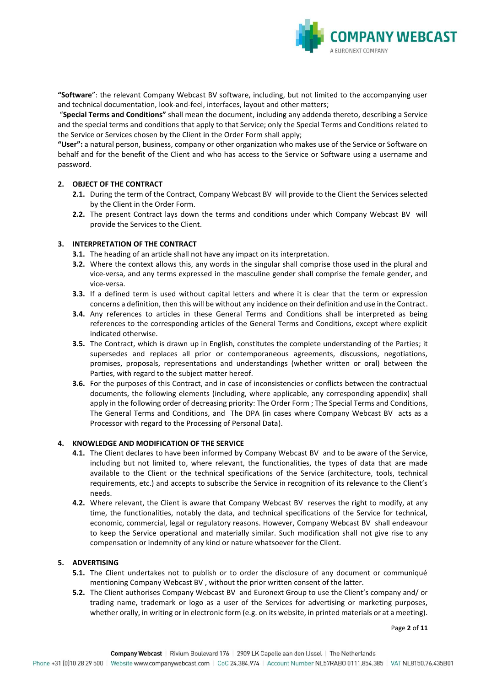

**"Software**": the relevant Company Webcast BV software, including, but not limited to the accompanying user and technical documentation, look-and-feel, interfaces, layout and other matters;

"**Special Terms and Conditions"** shall mean the document, including any addenda thereto, describing a Service and the special terms and conditions that apply to that Service; only the Special Terms and Conditions related to the Service or Services chosen by the Client in the Order Form shall apply;

**"User":** a natural person, business, company or other organization who makes use of the Service or Software on behalf and for the benefit of the Client and who has access to the Service or Software using a username and password.

## **2. OBJECT OF THE CONTRACT**

- **2.1.** During the term of the Contract, Company Webcast BV will provide to the Client the Services selected by the Client in the Order Form.
- **2.2.** The present Contract lays down the terms and conditions under which Company Webcast BV will provide the Services to the Client.

## **3. INTERPRETATION OF THE CONTRACT**

- **3.1.** The heading of an article shall not have any impact on its interpretation.
- **3.2.** Where the context allows this, any words in the singular shall comprise those used in the plural and vice-versa, and any terms expressed in the masculine gender shall comprise the female gender, and vice-versa.
- **3.3.** If a defined term is used without capital letters and where it is clear that the term or expression concerns a definition, then this will be without any incidence on their definition and use in the Contract.
- **3.4.** Any references to articles in these General Terms and Conditions shall be interpreted as being references to the corresponding articles of the General Terms and Conditions, except where explicit indicated otherwise.
- **3.5.** The Contract, which is drawn up in English, constitutes the complete understanding of the Parties; it supersedes and replaces all prior or contemporaneous agreements, discussions, negotiations, promises, proposals, representations and understandings (whether written or oral) between the Parties, with regard to the subject matter hereof.
- **3.6.** For the purposes of this Contract, and in case of inconsistencies or conflicts between the contractual documents, the following elements (including, where applicable, any corresponding appendix) shall apply in the following order of decreasing priority: The Order Form ; The Special Terms and Conditions, The General Terms and Conditions, and The DPA (in cases where Company Webcast BV acts as a Processor with regard to the Processing of Personal Data).

## **4. KNOWLEDGE AND MODIFICATION OF THE SERVICE**

- **4.1.** The Client declares to have been informed by Company Webcast BV and to be aware of the Service, including but not limited to, where relevant, the functionalities, the types of data that are made available to the Client or the technical specifications of the Service (architecture, tools, technical requirements, etc.) and accepts to subscribe the Service in recognition of its relevance to the Client's needs.
- **4.2.** Where relevant, the Client is aware that Company Webcast BV reserves the right to modify, at any time, the functionalities, notably the data, and technical specifications of the Service for technical, economic, commercial, legal or regulatory reasons. However, Company Webcast BV shall endeavour to keep the Service operational and materially similar. Such modification shall not give rise to any compensation or indemnity of any kind or nature whatsoever for the Client.

## **5. ADVERTISING**

- **5.1.** The Client undertakes not to publish or to order the disclosure of any document or communiqué mentioning Company Webcast BV , without the prior written consent of the latter.
- **5.2.** The Client authorises Company Webcast BV and Euronext Group to use the Client's company and/ or trading name, trademark or logo as a user of the Services for advertising or marketing purposes, whether orally, in writing or in electronic form (e.g. on its website, in printed materials or at a meeting).

Page **2** of **11**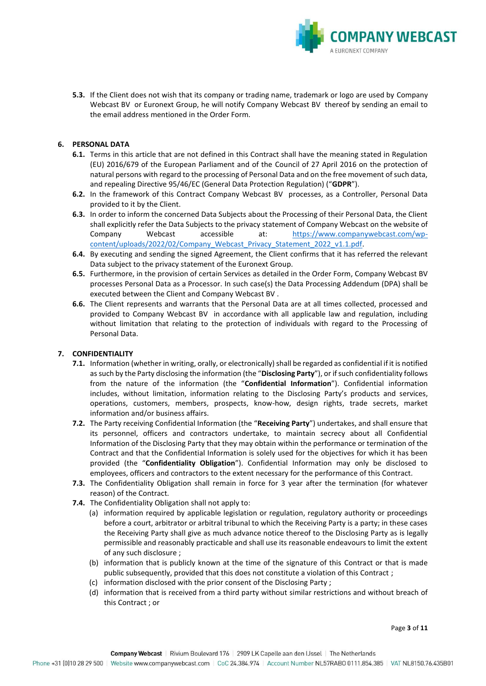

**5.3.** If the Client does not wish that its company or trading name, trademark or logo are used by Company Webcast BV or Euronext Group, he will notify Company Webcast BV thereof by sending an email to the email address mentioned in the Order Form.

## **6. PERSONAL DATA**

- **6.1.** Terms in this article that are not defined in this Contract shall have the meaning stated in Regulation (EU) 2016/679 of the European Parliament and of the Council of 27 April 2016 on the protection of natural persons with regard to the processing of Personal Data and on the free movement of such data, and repealing Directive 95/46/EC (General Data Protection Regulation) ("**GDPR**").
- **6.2.** In the framework of this Contract Company Webcast BV processes, as a Controller, Personal Data provided to it by the Client.
- **6.3.** In order to inform the concerned Data Subjects about the Processing of their Personal Data, the Client shall explicitly refer the Data Subjects to the privacy statement of Company Webcast on the website of Company Webcast accessible at: [https://www.companywebcast.com/wp](https://www.companywebcast.com/wp-content/uploads/2022/02/Company_Webcast_Privacy_Statement_2022_v1.1.pdf)[content/uploads/2022/02/Company\\_Webcast\\_Privacy\\_Statement\\_2022\\_v1.1.pdf.](https://www.companywebcast.com/wp-content/uploads/2022/02/Company_Webcast_Privacy_Statement_2022_v1.1.pdf)
- **6.4.** By executing and sending the signed Agreement, the Client confirms that it has referred the relevant Data subject to the privacy statement of the Euronext Group.
- **6.5.** Furthermore, in the provision of certain Services as detailed in the Order Form, Company Webcast BV processes Personal Data as a Processor. In such case(s) the Data Processing Addendum (DPA) shall be executed between the Client and Company Webcast BV .
- **6.6.** The Client represents and warrants that the Personal Data are at all times collected, processed and provided to Company Webcast BV in accordance with all applicable law and regulation, including without limitation that relating to the protection of individuals with regard to the Processing of Personal Data.

## **7. CONFIDENTIALITY**

- **7.1.** Information (whether in writing, orally, or electronically) shall be regarded as confidential if it is notified as such by the Party disclosing the information (the "**Disclosing Party**"), or if such confidentiality follows from the nature of the information (the "**Confidential Information**"). Confidential information includes, without limitation, information relating to the Disclosing Party's products and services, operations, customers, members, prospects, know-how, design rights, trade secrets, market information and/or business affairs.
- **7.2.** The Party receiving Confidential Information (the "**Receiving Party**") undertakes, and shall ensure that its personnel, officers and contractors undertake, to maintain secrecy about all Confidential Information of the Disclosing Party that they may obtain within the performance or termination of the Contract and that the Confidential Information is solely used for the objectives for which it has been provided (the "**Confidentiality Obligation**"). Confidential Information may only be disclosed to employees, officers and contractors to the extent necessary for the performance of this Contract.
- **7.3.** The Confidentiality Obligation shall remain in force for 3 year after the termination (for whatever reason) of the Contract.
- **7.4.** The Confidentiality Obligation shall not apply to:
	- (a) information required by applicable legislation or regulation, regulatory authority or proceedings before a court, arbitrator or arbitral tribunal to which the Receiving Party is a party; in these cases the Receiving Party shall give as much advance notice thereof to the Disclosing Party as is legally permissible and reasonably practicable and shall use its reasonable endeavours to limit the extent of any such disclosure ;
	- (b) information that is publicly known at the time of the signature of this Contract or that is made public subsequently, provided that this does not constitute a violation of this Contract ;
	- (c) information disclosed with the prior consent of the Disclosing Party ;
	- (d) information that is received from a third party without similar restrictions and without breach of this Contract ; or

Page **3** of **11**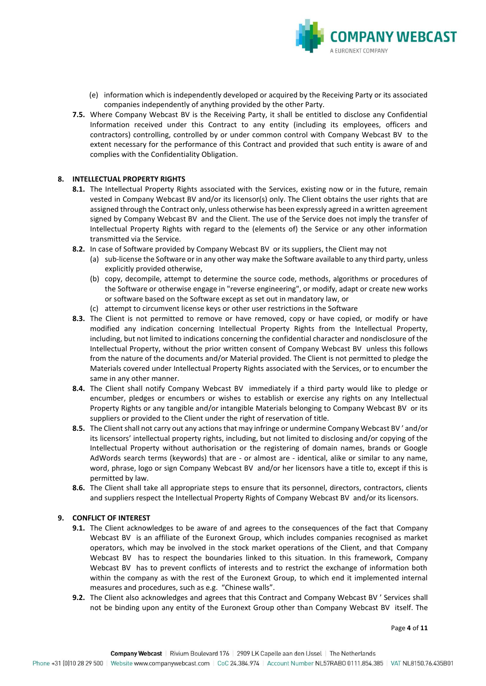

- (e) information which is independently developed or acquired by the Receiving Party or its associated companies independently of anything provided by the other Party.
- **7.5.** Where Company Webcast BV is the Receiving Party, it shall be entitled to disclose any Confidential Information received under this Contract to any entity (including its employees, officers and contractors) controlling, controlled by or under common control with Company Webcast BV to the extent necessary for the performance of this Contract and provided that such entity is aware of and complies with the Confidentiality Obligation.

### **8. INTELLECTUAL PROPERTY RIGHTS**

- 8.1. The Intellectual Property Rights associated with the Services, existing now or in the future, remain vested in Company Webcast BV and/or its licensor(s) only. The Client obtains the user rights that are assigned through the Contract only, unless otherwise has been expressly agreed in a written agreement signed by Company Webcast BV and the Client. The use of the Service does not imply the transfer of Intellectual Property Rights with regard to the (elements of) the Service or any other information transmitted via the Service.
- **8.2.** In case of Software provided by Company Webcast BV or its suppliers, the Client may not
	- (a) sub-license the Software or in any other way make the Software available to any third party, unless explicitly provided otherwise,
	- (b) copy, decompile, attempt to determine the source code, methods, algorithms or procedures of the Software or otherwise engage in "reverse engineering", or modify, adapt or create new works or software based on the Software except as set out in mandatory law, or
	- (c) attempt to circumvent license keys or other user restrictions in the Software
- **8.3.** The Client is not permitted to remove or have removed, copy or have copied, or modify or have modified any indication concerning Intellectual Property Rights from the Intellectual Property, including, but not limited to indications concerning the confidential character and nondisclosure of the Intellectual Property, without the prior written consent of Company Webcast BV unless this follows from the nature of the documents and/or Material provided. The Client is not permitted to pledge the Materials covered under Intellectual Property Rights associated with the Services, or to encumber the same in any other manner.
- **8.4.** The Client shall notify Company Webcast BV immediately if a third party would like to pledge or encumber, pledges or encumbers or wishes to establish or exercise any rights on any Intellectual Property Rights or any tangible and/or intangible Materials belonging to Company Webcast BV or its suppliers or provided to the Client under the right of reservation of title.
- **8.5.** The Client shall not carry out any actions that may infringe or undermine Company Webcast BV ' and/or its licensors' intellectual property rights, including, but not limited to disclosing and/or copying of the Intellectual Property without authorisation or the registering of domain names, brands or Google AdWords search terms (keywords) that are - or almost are - identical, alike or similar to any name, word, phrase, logo or sign Company Webcast BV and/or her licensors have a title to, except if this is permitted by law.
- **8.6.** The Client shall take all appropriate steps to ensure that its personnel, directors, contractors, clients and suppliers respect the Intellectual Property Rights of Company Webcast BV and/or its licensors.

#### **9. CONFLICT OF INTEREST**

- **9.1.** The Client acknowledges to be aware of and agrees to the consequences of the fact that Company Webcast BV is an affiliate of the Euronext Group, which includes companies recognised as market operators, which may be involved in the stock market operations of the Client, and that Company Webcast BV has to respect the boundaries linked to this situation. In this framework, Company Webcast BV has to prevent conflicts of interests and to restrict the exchange of information both within the company as with the rest of the Euronext Group, to which end it implemented internal measures and procedures, such as e.g. "Chinese walls".
- **9.2.** The Client also acknowledges and agrees that this Contract and Company Webcast BV ' Services shall not be binding upon any entity of the Euronext Group other than Company Webcast BV itself. The

Page **4** of **11**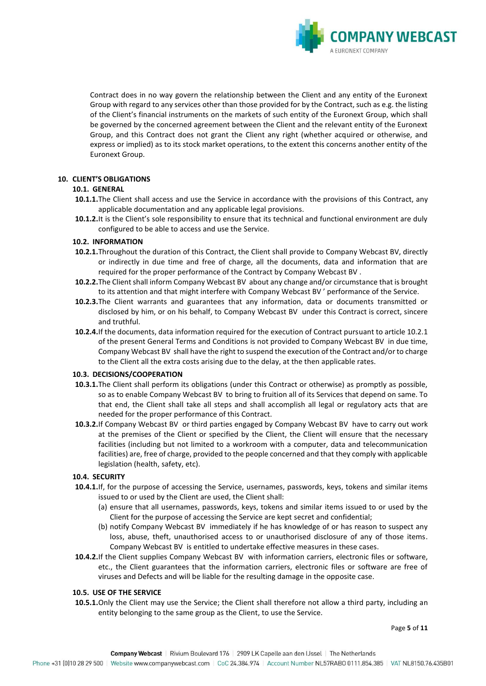

Contract does in no way govern the relationship between the Client and any entity of the Euronext Group with regard to any services other than those provided for by the Contract, such as e.g. the listing of the Client's financial instruments on the markets of such entity of the Euronext Group, which shall be governed by the concerned agreement between the Client and the relevant entity of the Euronext Group, and this Contract does not grant the Client any right (whether acquired or otherwise, and express or implied) as to its stock market operations, to the extent this concerns another entity of the Euronext Group.

## **10. CLIENT'S OBLIGATIONS**

## **10.1. GENERAL**

- **10.1.1.**The Client shall access and use the Service in accordance with the provisions of this Contract, any applicable documentation and any applicable legal provisions.
- **10.1.2.**It is the Client's sole responsibility to ensure that its technical and functional environment are duly configured to be able to access and use the Service.

## **10.2. INFORMATION**

- **10.2.1.**Throughout the duration of this Contract, the Client shall provide to Company Webcast BV, directly or indirectly in due time and free of charge, all the documents, data and information that are required for the proper performance of the Contract by Company Webcast BV .
- **10.2.2.**The Client shall inform Company Webcast BV about any change and/or circumstance that is brought to its attention and that might interfere with Company Webcast BV ' performance of the Service.
- **10.2.3.**The Client warrants and guarantees that any information, data or documents transmitted or disclosed by him, or on his behalf, to Company Webcast BV under this Contract is correct, sincere and truthful.
- **10.2.4.**If the documents, data information required for the execution of Contract pursuant to article 10.2.1 of the present General Terms and Conditions is not provided to Company Webcast BV in due time, Company Webcast BV shall have the right to suspend the execution of the Contract and/or to charge to the Client all the extra costs arising due to the delay, at the then applicable rates.

## **10.3. DECISIONS/COOPERATION**

- **10.3.1.**The Client shall perform its obligations (under this Contract or otherwise) as promptly as possible, so as to enable Company Webcast BV to bring to fruition all of its Services that depend on same. To that end, the Client shall take all steps and shall accomplish all legal or regulatory acts that are needed for the proper performance of this Contract.
- **10.3.2.**If Company Webcast BV or third parties engaged by Company Webcast BV have to carry out work at the premises of the Client or specified by the Client, the Client will ensure that the necessary facilities (including but not limited to a workroom with a computer, data and telecommunication facilities) are, free of charge, provided to the people concerned and that they comply with applicable legislation (health, safety, etc).

## **10.4. SECURITY**

- **10.4.1.**If, for the purpose of accessing the Service, usernames, passwords, keys, tokens and similar items issued to or used by the Client are used, the Client shall:
	- (a) ensure that all usernames, passwords, keys, tokens and similar items issued to or used by the Client for the purpose of accessing the Service are kept secret and confidential;
	- (b) notify Company Webcast BV immediately if he has knowledge of or has reason to suspect any loss, abuse, theft, unauthorised access to or unauthorised disclosure of any of those items. Company Webcast BV is entitled to undertake effective measures in these cases.
- **10.4.2.**If the Client supplies Company Webcast BV with information carriers, electronic files or software, etc., the Client guarantees that the information carriers, electronic files or software are free of viruses and Defects and will be liable for the resulting damage in the opposite case.

## **10.5. USE OF THE SERVICE**

**10.5.1.**Only the Client may use the Service; the Client shall therefore not allow a third party, including an entity belonging to the same group as the Client, to use the Service.

Page **5** of **11**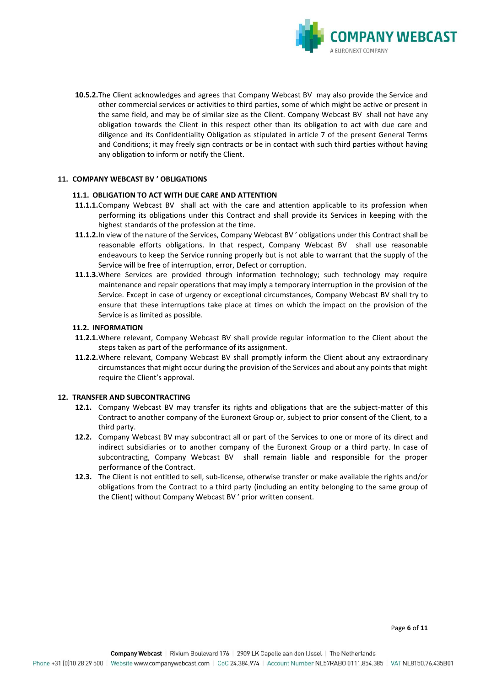

**10.5.2.**The Client acknowledges and agrees that Company Webcast BV may also provide the Service and other commercial services or activities to third parties, some of which might be active or present in the same field, and may be of similar size as the Client. Company Webcast BV shall not have any obligation towards the Client in this respect other than its obligation to act with due care and diligence and its Confidentiality Obligation as stipulated in article 7 of the present General Terms and Conditions; it may freely sign contracts or be in contact with such third parties without having any obligation to inform or notify the Client.

### **11. COMPANY WEBCAST BV ' OBLIGATIONS**

#### **11.1. OBLIGATION TO ACT WITH DUE CARE AND ATTENTION**

- **11.1.1.**Company Webcast BV shall act with the care and attention applicable to its profession when performing its obligations under this Contract and shall provide its Services in keeping with the highest standards of the profession at the time.
- **11.1.2.**In view of the nature of the Services, Company Webcast BV ' obligations under this Contract shall be reasonable efforts obligations. In that respect, Company Webcast BV shall use reasonable endeavours to keep the Service running properly but is not able to warrant that the supply of the Service will be free of interruption, error, Defect or corruption.
- **11.1.3.**Where Services are provided through information technology; such technology may require maintenance and repair operations that may imply a temporary interruption in the provision of the Service. Except in case of urgency or exceptional circumstances, Company Webcast BV shall try to ensure that these interruptions take place at times on which the impact on the provision of the Service is as limited as possible.

#### **11.2. INFORMATION**

- **11.2.1.**Where relevant, Company Webcast BV shall provide regular information to the Client about the steps taken as part of the performance of its assignment.
- **11.2.2.**Where relevant, Company Webcast BV shall promptly inform the Client about any extraordinary circumstances that might occur during the provision of the Services and about any points that might require the Client's approval.

#### **12. TRANSFER AND SUBCONTRACTING**

- **12.1.** Company Webcast BV may transfer its rights and obligations that are the subject-matter of this Contract to another company of the Euronext Group or, subject to prior consent of the Client, to a third party.
- **12.2.** Company Webcast BV may subcontract all or part of the Services to one or more of its direct and indirect subsidiaries or to another company of the Euronext Group or a third party. In case of subcontracting, Company Webcast BV shall remain liable and responsible for the proper performance of the Contract.
- **12.3.** The Client is not entitled to sell, sub-license, otherwise transfer or make available the rights and/or obligations from the Contract to a third party (including an entity belonging to the same group of the Client) without Company Webcast BV ' prior written consent.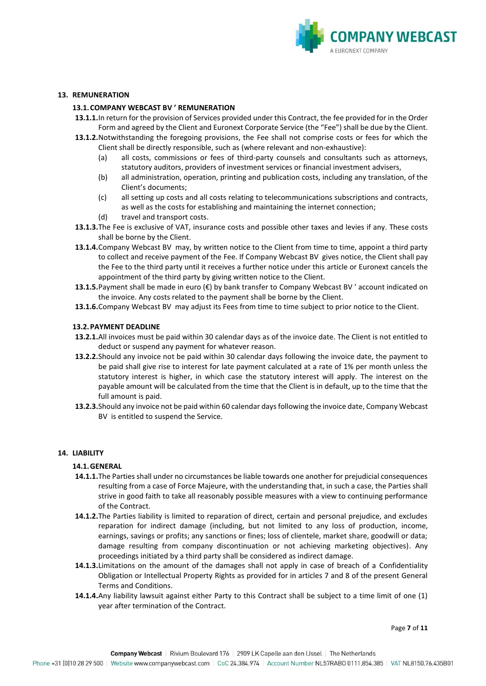

### **13. REMUNERATION**

#### **13.1.COMPANY WEBCAST BV ' REMUNERATION**

- **13.1.1.**In return for the provision of Services provided under this Contract, the fee provided for in the Order Form and agreed by the Client and Euronext Corporate Service (the "Fee") shall be due by the Client.
- **13.1.2.**Notwithstanding the foregoing provisions, the Fee shall not comprise costs or fees for which the Client shall be directly responsible, such as (where relevant and non-exhaustive):
	- (a) all costs, commissions or fees of third-party counsels and consultants such as attorneys, statutory auditors, providers of investment services or financial investment advisers,
	- (b) all administration, operation, printing and publication costs, including any translation, of the Client's documents;
	- (c) all setting up costs and all costs relating to telecommunications subscriptions and contracts, as well as the costs for establishing and maintaining the internet connection;
	- (d) travel and transport costs.
- **13.1.3.**The Fee is exclusive of VAT, insurance costs and possible other taxes and levies if any. These costs shall be borne by the Client.
- **13.1.4.**Company Webcast BV may, by written notice to the Client from time to time, appoint a third party to collect and receive payment of the Fee. If Company Webcast BV gives notice, the Client shall pay the Fee to the third party until it receives a further notice under this article or Euronext cancels the appointment of the third party by giving written notice to the Client.
- **13.1.5.**Payment shall be made in euro (€) by bank transfer to Company Webcast BV' account indicated on the invoice. Any costs related to the payment shall be borne by the Client.
- **13.1.6.**Company Webcast BV may adjust its Fees from time to time subject to prior notice to the Client.

#### **13.2.PAYMENT DEADLINE**

- **13.2.1.**All invoices must be paid within 30 calendar days as of the invoice date. The Client is not entitled to deduct or suspend any payment for whatever reason.
- **13.2.2.**Should any invoice not be paid within 30 calendar days following the invoice date, the payment to be paid shall give rise to interest for late payment calculated at a rate of 1% per month unless the statutory interest is higher, in which case the statutory interest will apply. The interest on the payable amount will be calculated from the time that the Client is in default, up to the time that the full amount is paid.
- **13.2.3.**Should any invoice not be paid within 60 calendar days following the invoice date, Company Webcast BV is entitled to suspend the Service.

#### **14. LIABILITY**

#### **14.1.GENERAL**

- **14.1.1.**The Parties shall under no circumstances be liable towards one another for prejudicial consequences resulting from a case of Force Majeure, with the understanding that, in such a case, the Parties shall strive in good faith to take all reasonably possible measures with a view to continuing performance of the Contract.
- **14.1.2.**The Parties liability is limited to reparation of direct, certain and personal prejudice, and excludes reparation for indirect damage (including, but not limited to any loss of production, income, earnings, savings or profits; any sanctions or fines; loss of clientele, market share, goodwill or data; damage resulting from company discontinuation or not achieving marketing objectives). Any proceedings initiated by a third party shall be considered as indirect damage.
- **14.1.3.**Limitations on the amount of the damages shall not apply in case of breach of a Confidentiality Obligation or Intellectual Property Rights as provided for in articles 7 and 8 of the present General Terms and Conditions.
- **14.1.4.**Any liability lawsuit against either Party to this Contract shall be subject to a time limit of one (1) year after termination of the Contract.

Page **7** of **11**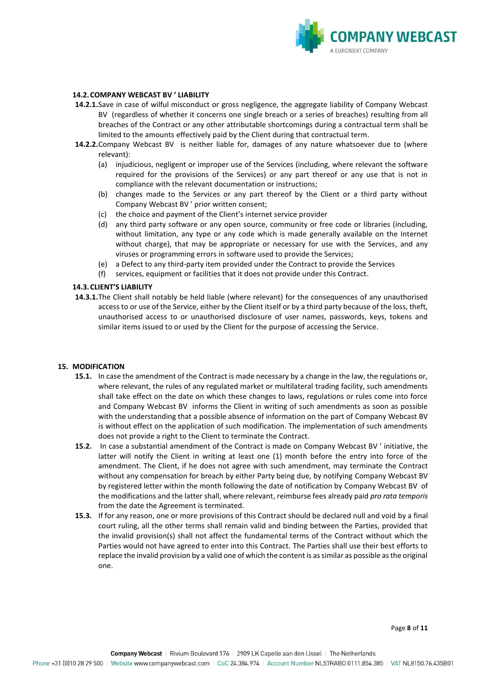

### **14.2.COMPANY WEBCAST BV ' LIABILITY**

- **14.2.1.**Save in case of wilful misconduct or gross negligence, the aggregate liability of Company Webcast BV (regardless of whether it concerns one single breach or a series of breaches) resulting from all breaches of the Contract or any other attributable shortcomings during a contractual term shall be limited to the amounts effectively paid by the Client during that contractual term.
- **14.2.2.**Company Webcast BV is neither liable for, damages of any nature whatsoever due to (where relevant):
	- (a) injudicious, negligent or improper use of the Services (including, where relevant the software required for the provisions of the Services) or any part thereof or any use that is not in compliance with the relevant documentation or instructions;
	- (b) changes made to the Services or any part thereof by the Client or a third party without Company Webcast BV ' prior written consent;
	- (c) the choice and payment of the Client's internet service provider
	- (d) any third party software or any open source, community or free code or libraries (including, without limitation, any type or any code which is made generally available on the Internet without charge), that may be appropriate or necessary for use with the Services, and any viruses or programming errors in software used to provide the Services;
	- (e) a Defect to any third-party item provided under the Contract to provide the Services
	- (f) services, equipment or facilities that it does not provide under this Contract.

### **14.3.CLIENT'S LIABILITY**

**14.3.1.**The Client shall notably be held liable (where relevant) for the consequences of any unauthorised access to or use of the Service, either by the Client itself or by a third party because of the loss, theft, unauthorised access to or unauthorised disclosure of user names, passwords, keys, tokens and similar items issued to or used by the Client for the purpose of accessing the Service.

#### **15. MODIFICATION**

- **15.1.** In case the amendment of the Contract is made necessary by a change in the law, the regulations or, where relevant, the rules of any regulated market or multilateral trading facility, such amendments shall take effect on the date on which these changes to laws, regulations or rules come into force and Company Webcast BV informs the Client in writing of such amendments as soon as possible with the understanding that a possible absence of information on the part of Company Webcast BV is without effect on the application of such modification. The implementation of such amendments does not provide a right to the Client to terminate the Contract.
- **15.2.** In case a substantial amendment of the Contract is made on Company Webcast BV ' initiative, the latter will notify the Client in writing at least one (1) month before the entry into force of the amendment. The Client, if he does not agree with such amendment, may terminate the Contract without any compensation for breach by either Party being due, by notifying Company Webcast BV by registered letter within the month following the date of notification by Company Webcast BV of the modifications and the latter shall, where relevant, reimburse fees already paid *pro rata temporis* from the date the Agreement is terminated.
- **15.3.** If for any reason, one or more provisions of this Contract should be declared null and void by a final court ruling, all the other terms shall remain valid and binding between the Parties, provided that the invalid provision(s) shall not affect the fundamental terms of the Contract without which the Parties would not have agreed to enter into this Contract. The Parties shall use their best efforts to replace the invalid provision by a valid one of which the content is as similar as possible as the original one.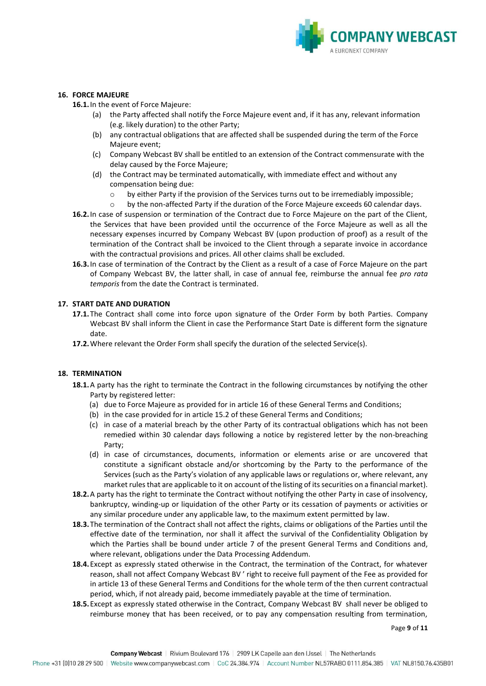

### **16. FORCE MAJEURE**

**16.1.**In the event of Force Majeure:

- (a) the Party affected shall notify the Force Majeure event and, if it has any, relevant information (e.g. likely duration) to the other Party;
- (b) any contractual obligations that are affected shall be suspended during the term of the Force Majeure event;
- (c) Company Webcast BV shall be entitled to an extension of the Contract commensurate with the delay caused by the Force Majeure;
- (d) the Contract may be terminated automatically, with immediate effect and without any compensation being due:
	- $\circ$  by either Party if the provision of the Services turns out to be irremediably impossible;
	- o by the non-affected Party if the duration of the Force Majeure exceeds 60 calendar days.
- **16.2.**In case of suspension or termination of the Contract due to Force Majeure on the part of the Client, the Services that have been provided until the occurrence of the Force Majeure as well as all the necessary expenses incurred by Company Webcast BV (upon production of proof) as a result of the termination of the Contract shall be invoiced to the Client through a separate invoice in accordance with the contractual provisions and prices. All other claims shall be excluded.
- **16.3.**In case of termination of the Contract by the Client as a result of a case of Force Majeure on the part of Company Webcast BV, the latter shall, in case of annual fee, reimburse the annual fee *pro rata temporis* from the date the Contract is terminated.

### **17. START DATE AND DURATION**

- **17.1.**The Contract shall come into force upon signature of the Order Form by both Parties. Company Webcast BV shall inform the Client in case the Performance Start Date is different form the signature date.
- **17.2.**Where relevant the Order Form shall specify the duration of the selected Service(s).

### **18. TERMINATION**

- **18.1.**A party has the right to terminate the Contract in the following circumstances by notifying the other Party by registered letter:
	- (a) due to Force Majeure as provided for in article 16 of these General Terms and Conditions;
	- (b) in the case provided for in article 15.2 of these General Terms and Conditions;
	- (c) in case of a material breach by the other Party of its contractual obligations which has not been remedied within 30 calendar days following a notice by registered letter by the non-breaching Party;
	- (d) in case of circumstances, documents, information or elements arise or are uncovered that constitute a significant obstacle and/or shortcoming by the Party to the performance of the Services (such as the Party's violation of any applicable laws or regulations or, where relevant, any market rules that are applicable to it on account of the listing of its securities on a financial market).
- **18.2.**A party has the right to terminate the Contract without notifying the other Party in case of insolvency, bankruptcy, winding-up or liquidation of the other Party or its cessation of payments or activities or any similar procedure under any applicable law, to the maximum extent permitted by law.
- **18.3.**The termination of the Contract shall not affect the rights, claims or obligations of the Parties until the effective date of the termination, nor shall it affect the survival of the Confidentiality Obligation by which the Parties shall be bound under article 7 of the present General Terms and Conditions and, where relevant, obligations under the Data Processing Addendum.
- **18.4.**Except as expressly stated otherwise in the Contract, the termination of the Contract, for whatever reason, shall not affect Company Webcast BV ' right to receive full payment of the Fee as provided for in article 13 of these General Terms and Conditions for the whole term of the then current contractual period, which, if not already paid, become immediately payable at the time of termination.
- **18.5.**Except as expressly stated otherwise in the Contract, Company Webcast BV shall never be obliged to reimburse money that has been received, or to pay any compensation resulting from termination,

Page **9** of **11**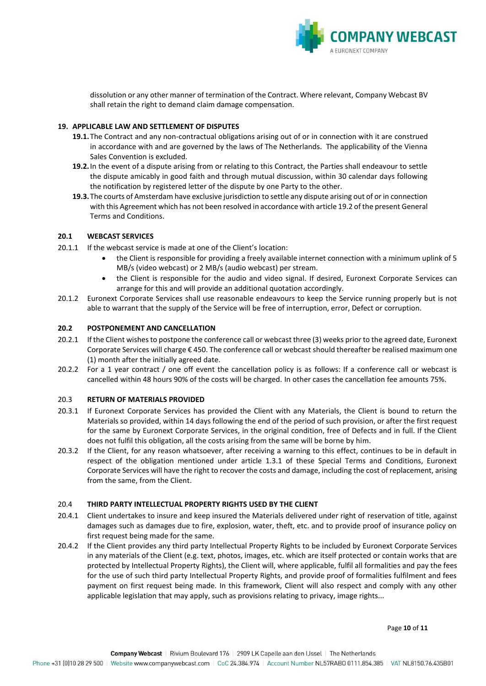

dissolution or any other manner of termination of the Contract. Where relevant, Company Webcast BV shall retain the right to demand claim damage compensation.

### **19. APPLICABLE LAW AND SETTLEMENT OF DISPUTES**

- **19.1.**The Contract and any non-contractual obligations arising out of or in connection with it are construed in accordance with and are governed by the laws of The Netherlands. The applicability of the Vienna Sales Convention is excluded.
- **19.2.**In the event of a dispute arising from or relating to this Contract, the Parties shall endeavour to settle the dispute amicably in good faith and through mutual discussion, within 30 calendar days following the notification by registered letter of the dispute by one Party to the other.
- **19.3.**The courts of Amsterdam have exclusive jurisdiction to settle any dispute arising out of or in connection with this Agreement which has not been resolved in accordance with article 19.2 of the present General Terms and Conditions.

## **20.1 WEBCAST SERVICES**

- 20.1.1 If the webcast service is made at one of the Client's location:
	- the Client is responsible for providing a freely available internet connection with a minimum uplink of 5 MB/s (video webcast) or 2 MB/s (audio webcast) per stream.
	- the Client is responsible for the audio and video signal. If desired, Euronext Corporate Services can arrange for this and will provide an additional quotation accordingly.
- 20.1.2 Euronext Corporate Services shall use reasonable endeavours to keep the Service running properly but is not able to warrant that the supply of the Service will be free of interruption, error, Defect or corruption.

### **20.2 POSTPONEMENT AND CANCELLATION**

- 20.2.1 If the Client wishes to postpone the conference call or webcast three (3) weeks prior to the agreed date, Euronext Corporate Services will charge € 450. The conference call or webcast should thereafter be realised maximum one (1) month after the initially agreed date.
- 20.2.2 For a 1 year contract / one off event the cancellation policy is as follows: If a conference call or webcast is cancelled within 48 hours 90% of the costs will be charged. In other cases the cancellation fee amounts 75%.

## 20.3 **RETURN OF MATERIALS PROVIDED**

- 20.3.1 If Euronext Corporate Services has provided the Client with any Materials, the Client is bound to return the Materials so provided, within 14 days following the end of the period of such provision, or after the first request for the same by Euronext Corporate Services, in the original condition, free of Defects and in full. If the Client does not fulfil this obligation, all the costs arising from the same will be borne by him.
- 20.3.2 If the Client, for any reason whatsoever, after receiving a warning to this effect, continues to be in default in respect of the obligation mentioned under article 1.3.1 of these Special Terms and Conditions, Euronext Corporate Services will have the right to recover the costs and damage, including the cost of replacement, arising from the same, from the Client.

## 20.4 **THIRD PARTY INTELLECTUAL PROPERTY RIGHTS USED BY THE CLIENT**

- 20.4.1 Client undertakes to insure and keep insured the Materials delivered under right of reservation of title, against damages such as damages due to fire, explosion, water, theft, etc. and to provide proof of insurance policy on first request being made for the same.
- 20.4.2 If the Client provides any third party Intellectual Property Rights to be included by Euronext Corporate Services in any materials of the Client (e.g. text, photos, images, etc. which are itself protected or contain works that are protected by Intellectual Property Rights), the Client will, where applicable, fulfil all formalities and pay the fees for the use of such third party Intellectual Property Rights, and provide proof of formalities fulfilment and fees payment on first request being made. In this framework, Client will also respect and comply with any other applicable legislation that may apply, such as provisions relating to privacy, image rights...